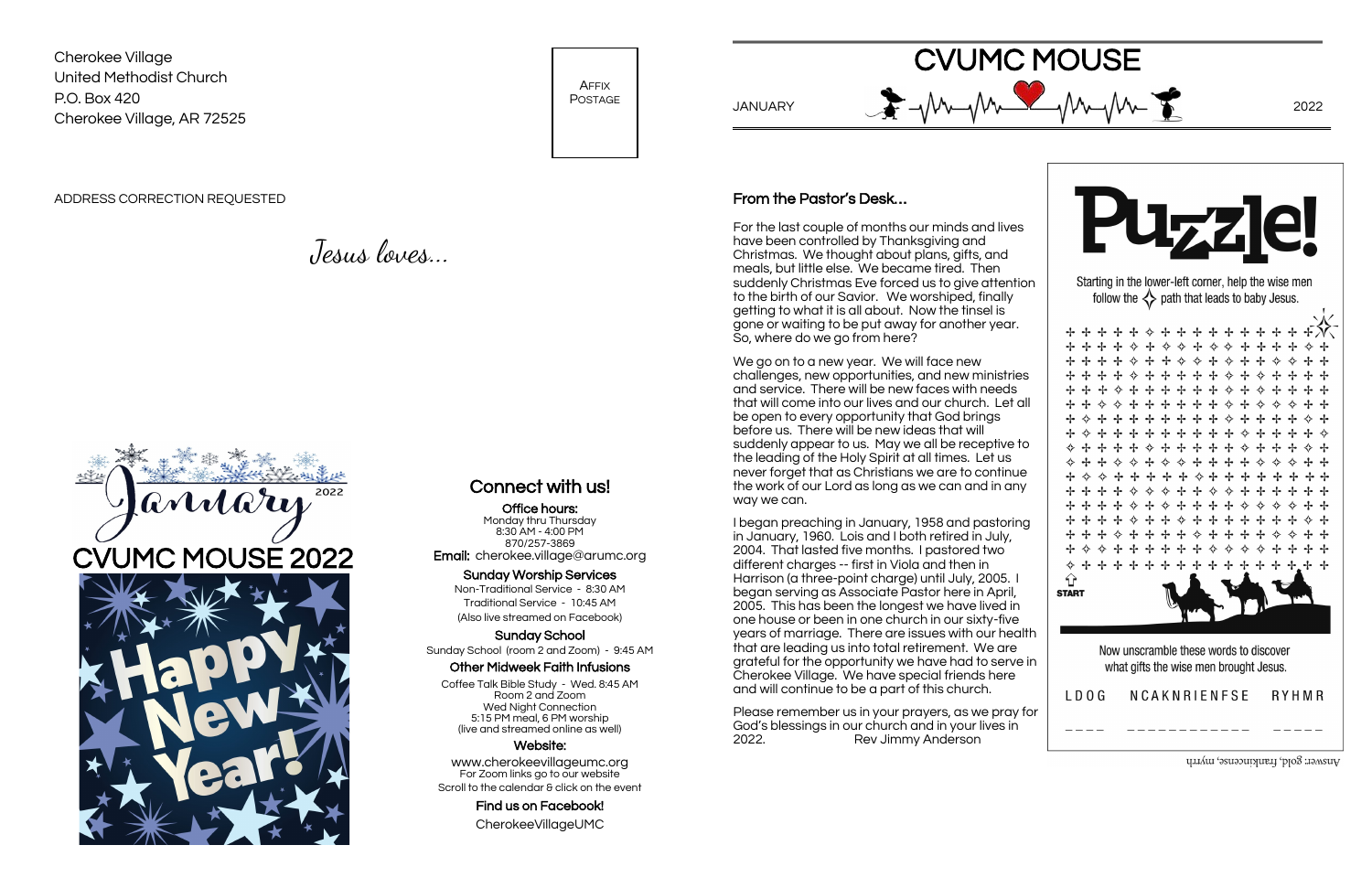Cherokee Village United Methodist Church P.O. Box 420 Cherokee Village, AR 72525

AFFIX POSTAGE

ADDRESS CORRECTION REQUESTED

Jesus loves...

## Connect with us!

Office hours: Monday thru Thursday 8:30 AM - 4:00 PM 870/257-3869 Email: cherokee.village@arumc.org

#### Sunday Worship Services

www.cherokeevillageumc.org For Zoom links go to our website Scroll to the calendar & click on the event

Non-Traditional Service - 8:30 AM Traditional Service - 10:45 AM (Also live streamed on Facebook)

Sunday School Sunday School (room 2 and Zoom) - 9:45 AM

#### Other Midweek Faith Infusions

Coffee Talk Bible Study - Wed. 8:45 AM Room 2 and Zoom Wed Night Connection 5:15 PM meal, 6 PM worship (live and streamed online as well)

#### Website:

Find us on Facebook! CherokeeVillageUMC



CVUMC MOUSE



Answer: gold, frankincense, myrrh



## From the Pastor's Desk…

For the last couple of months our minds and lives have been controlled by Thanksgiving and Christmas. We thought about plans, gifts, and meals, but little else. We became tired. Then suddenly Christmas Eve forced us to give attention to the birth of our Savior. We worshiped, finally getting to what it is all about. Now the tinsel is gone or waiting to be put away for another year. So, where do we go from here?

We go on to a new year. We will face new challenges, new opportunities, and new ministries and service. There will be new faces with needs that will come into our lives and our church. Let all be open to every opportunity that God brings before us. There will be new ideas that will suddenly appear to us. May we all be receptive to the leading of the Holy Spirit at all times. Let us never forget that as Christians we are to continue the work of our Lord as long as we can and in any way we can.

I began preaching in January, 1958 and pastoring in January, 1960. Lois and I both retired in July, 2004. That lasted five months. I pastored two different charges -- first in Viola and then in Harrison (a three-point charge) until July, 2005. I began serving as Associate Pastor here in April, 2005. This has been the longest we have lived in one house or been in one church in our sixty-five years of marriage. There are issues with our health that are leading us into total retirement. We are grateful for the opportunity we have had to serve in Cherokee Village. We have special friends here and will continue to be a part of this church.

Please remember us in your prayers, as we pray for God's blessings in our church and in your lives in 2022. Rev Jimmy Anderson